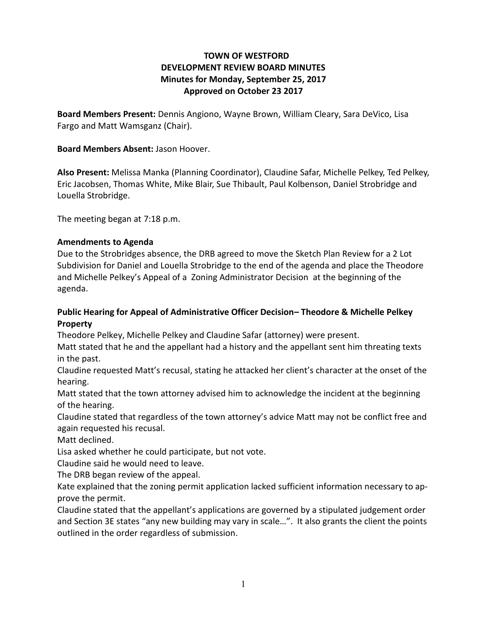# **TOWN OF WESTFORD DEVELOPMENT REVIEW BOARD MINUTES Minutes for Monday, September 25, 2017 Approved on October 23 2017**

**Board Members Present:** Dennis Angiono, Wayne Brown, William Cleary, Sara DeVico, Lisa Fargo and Matt Wamsganz (Chair).

## **Board Members Absent:** Jason Hoover.

**Also Present:** Melissa Manka (Planning Coordinator), Claudine Safar, Michelle Pelkey, Ted Pelkey, Eric Jacobsen, Thomas White, Mike Blair, Sue Thibault, Paul Kolbenson, Daniel Strobridge and Louella Strobridge.

The meeting began at 7:18 p.m.

## **Amendments to Agenda**

Due to the Strobridges absence, the DRB agreed to move the Sketch Plan Review for a 2 Lot Subdivision for Daniel and Louella Strobridge to the end of the agenda and place the Theodore and Michelle Pelkey's Appeal of a Zoning Administrator Decision at the beginning of the agenda.

## **Public Hearing for Appeal of Administrative Officer Decision– Theodore & Michelle Pelkey Property**

Theodore Pelkey, Michelle Pelkey and Claudine Safar (attorney) were present.

Matt stated that he and the appellant had a history and the appellant sent him threating texts in the past.

Claudine requested Matt's recusal, stating he attacked her client's character at the onset of the hearing.

Matt stated that the town attorney advised him to acknowledge the incident at the beginning of the hearing.

Claudine stated that regardless of the town attorney's advice Matt may not be conflict free and again requested his recusal.

Matt declined.

Lisa asked whether he could participate, but not vote.

Claudine said he would need to leave.

The DRB began review of the appeal.

Kate explained that the zoning permit application lacked sufficient information necessary to approve the permit.

Claudine stated that the appellant's applications are governed by a stipulated judgement order and Section 3E states "any new building may vary in scale…". It also grants the client the points outlined in the order regardless of submission.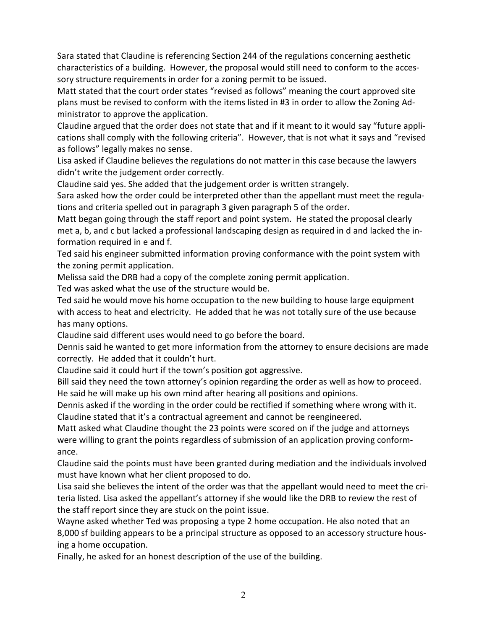Sara stated that Claudine is referencing Section 244 of the regulations concerning aesthetic characteristics of a building. However, the proposal would still need to conform to the accessory structure requirements in order for a zoning permit to be issued.

Matt stated that the court order states "revised as follows" meaning the court approved site plans must be revised to conform with the items listed in #3 in order to allow the Zoning Administrator to approve the application.

Claudine argued that the order does not state that and if it meant to it would say "future applications shall comply with the following criteria". However, that is not what it says and "revised as follows" legally makes no sense.

Lisa asked if Claudine believes the regulations do not matter in this case because the lawyers didn't write the judgement order correctly.

Claudine said yes. She added that the judgement order is written strangely.

Sara asked how the order could be interpreted other than the appellant must meet the regulations and criteria spelled out in paragraph 3 given paragraph 5 of the order.

Matt began going through the staff report and point system. He stated the proposal clearly met a, b, and c but lacked a professional landscaping design as required in d and lacked the information required in e and f.

Ted said his engineer submitted information proving conformance with the point system with the zoning permit application.

Melissa said the DRB had a copy of the complete zoning permit application.

Ted was asked what the use of the structure would be.

Ted said he would move his home occupation to the new building to house large equipment with access to heat and electricity. He added that he was not totally sure of the use because has many options.

Claudine said different uses would need to go before the board.

Dennis said he wanted to get more information from the attorney to ensure decisions are made correctly. He added that it couldn't hurt.

Claudine said it could hurt if the town's position got aggressive.

Bill said they need the town attorney's opinion regarding the order as well as how to proceed. He said he will make up his own mind after hearing all positions and opinions.

Dennis asked if the wording in the order could be rectified if something where wrong with it. Claudine stated that it's a contractual agreement and cannot be reengineered.

Matt asked what Claudine thought the 23 points were scored on if the judge and attorneys were willing to grant the points regardless of submission of an application proving conformance.

Claudine said the points must have been granted during mediation and the individuals involved must have known what her client proposed to do.

Lisa said she believes the intent of the order was that the appellant would need to meet the criteria listed. Lisa asked the appellant's attorney if she would like the DRB to review the rest of the staff report since they are stuck on the point issue.

Wayne asked whether Ted was proposing a type 2 home occupation. He also noted that an 8,000 sf building appears to be a principal structure as opposed to an accessory structure housing a home occupation.

Finally, he asked for an honest description of the use of the building.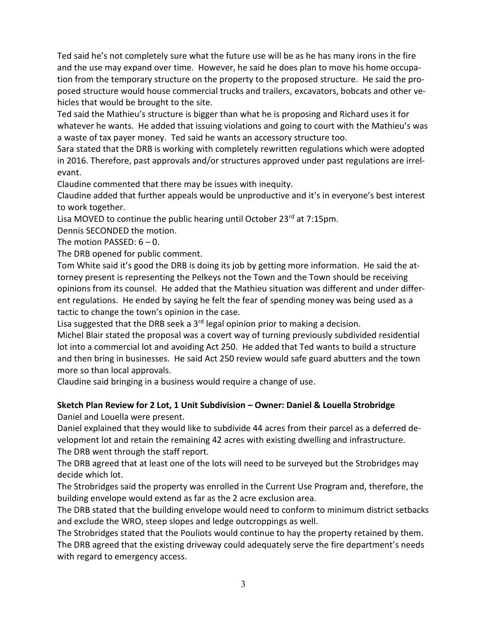Ted said he's not completely sure what the future use will be as he has many irons in the fire and the use may expand over time. However, he said he does plan to move his home occupation from the temporary structure on the property to the proposed structure. He said the proposed structure would house commercial trucks and trailers, excavators, bobcats and other vehicles that would be brought to the site.

Ted said the Mathieu's structure is bigger than what he is proposing and Richard uses it for whatever he wants. He added that issuing violations and going to court with the Mathieu's was a waste of tax payer money. Ted said he wants an accessory structure too.

Sara stated that the DRB is working with completely rewritten regulations which were adopted in 2016. Therefore, past approvals and/or structures approved under past regulations are irrelevant.

Claudine commented that there may be issues with inequity.

Claudine added that further appeals would be unproductive and it's in everyone's best interest to work together.

Lisa MOVED to continue the public hearing until October 23rd at 7:15pm.

Dennis SECONDED the motion.

The motion PASSED: 6 – 0.

The DRB opened for public comment.

Tom White said it's good the DRB is doing its job by getting more information. He said the attorney present is representing the Pelkeys not the Town and the Town should be receiving opinions from its counsel. He added that the Mathieu situation was different and under different regulations. He ended by saying he felt the fear of spending money was being used as a tactic to change the town's opinion in the case.

Lisa suggested that the DRB seek a  $3<sup>rd</sup>$  legal opinion prior to making a decision.

Michel Blair stated the proposal was a covert way of turning previously subdivided residential lot into a commercial lot and avoiding Act 250. He added that Ted wants to build a structure and then bring in businesses. He said Act 250 review would safe guard abutters and the town more so than local approvals.

Claudine said bringing in a business would require a change of use.

#### **Sketch Plan Review for 2 Lot, 1 Unit Subdivision – Owner: Daniel & Louella Strobridge**  Daniel and Louella were present.

Daniel explained that they would like to subdivide 44 acres from their parcel as a deferred development lot and retain the remaining 42 acres with existing dwelling and infrastructure. The DRB went through the staff report.

The DRB agreed that at least one of the lots will need to be surveyed but the Strobridges may decide which lot.

The Strobridges said the property was enrolled in the Current Use Program and, therefore, the building envelope would extend as far as the 2 acre exclusion area.

The DRB stated that the building envelope would need to conform to minimum district setbacks and exclude the WRO, steep slopes and ledge outcroppings as well.

The Strobridges stated that the Pouliots would continue to hay the property retained by them. The DRB agreed that the existing driveway could adequately serve the fire department's needs with regard to emergency access.